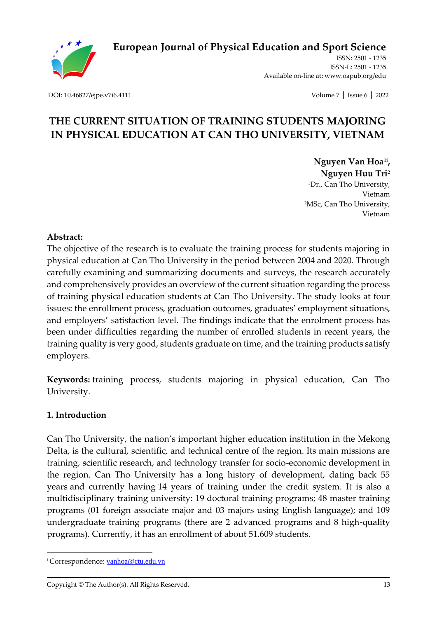

**[European Journal of Physical Education and Sport Science](http://oapub.org/edu/index.php/ejep)**

ISSN: 2501 - 1235 ISSN-L: 2501 - 1235 Available on-line at**:** [www.oapub.org/edu](http://www.oapub.org/edu)

[DOI: 10.46827/ejpe.v7i6.4111](http://dx.doi.org/10.46827/ejpe.v7i6.4111) Volume 7 │ Issue 6 │ 2022

# **THE CURRENT SITUATION OF TRAINING STUDENTS MAJORING IN PHYSICAL EDUCATION AT CAN THO UNIVERSITY, VIETNAM**

**Nguyen Van Hoa1i , Nguyen Huu Tri<sup>2</sup>** <sup>1</sup>Dr., Can Tho University, Vietnam <sup>2</sup>MSc, Can Tho University, Vietnam

# **Abstract:**

The objective of the research is to evaluate the training process for students majoring in physical education at Can Tho University in the period between 2004 and 2020. Through carefully examining and summarizing documents and surveys, the research accurately and comprehensively provides an overview of the current situation regarding the process of training physical education students at Can Tho University. The study looks at four issues: the enrollment process, graduation outcomes, graduates' employment situations, and employers' satisfaction level. The findings indicate that the enrolment process has been under difficulties regarding the number of enrolled students in recent years, the training quality is very good, students graduate on time, and the training products satisfy employers.

**Keywords:** training process, students majoring in physical education, Can Tho University.

# **1. Introduction**

Can Tho University, the nation's important higher education institution in the Mekong Delta, is the cultural, scientific, and technical centre of the region. Its main missions are training, scientific research, and technology transfer for socio-economic development in the region. Can Tho University has a long history of development, dating back 55 years and currently having 14 years of training under the credit system. It is also a multidisciplinary training university: 19 doctoral training programs; 48 master training programs (01 foreign associate major and 03 majors using English language); and 109 undergraduate training programs (there are 2 advanced programs and 8 high-quality programs). Currently, it has an enrollment of about 51.609 students.

<sup>&</sup>lt;sup>i</sup> Correspondence: [vanhoa@ctu.edu.vn](mailto:vanhoa@ctu.edu.vn)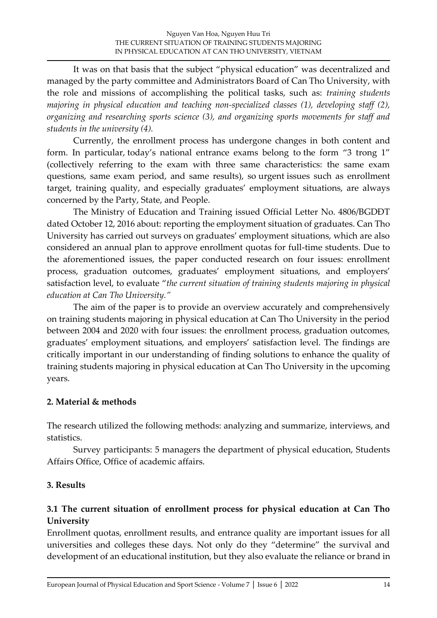It was on that basis that the subject "physical education" was decentralized and managed by the party committee and Administrators Board of Can Tho University, with the role and missions of accomplishing the political tasks, such as: *training students majoring in physical education and teaching non-specialized classes (1), developing staff (2), organizing and researching sports science (3), and organizing sports movements for staff and students in the university (4).*

Currently, the enrollment process has undergone changes in both content and form. In particular, today's national entrance exams belong to the form "3 trong 1" (collectively referring to the exam with three same characteristics: the same exam questions, same exam period, and same results), so urgent issues such as enrollment target, training quality, and especially graduates' employment situations, are always concerned by the Party, State, and People.

The Ministry of Education and Training issued Official Letter No. 4806/BGDĐT dated October 12, 2016 about: reporting the employment situation of graduates. Can Tho University has carried out surveys on graduates' employment situations, which are also considered an annual plan to approve enrollment quotas for full-time students. Due to the aforementioned issues, the paper conducted research on four issues: enrollment process, graduation outcomes, graduates' employment situations, and employers' satisfaction level, to evaluate "*the current situation of training students majoring in physical education at Can Tho University."*

The aim of the paper is to provide an overview accurately and comprehensively on training students majoring in physical education at Can Tho University in the period between 2004 and 2020 with four issues: the enrollment process, graduation outcomes, graduates' employment situations, and employers' satisfaction level. The findings are critically important in our understanding of finding solutions to enhance the quality of training students majoring in physical education at Can Tho University in the upcoming years.

# **2. Material & methods**

The research utilized the following methods: analyzing and summarize, interviews, and statistics.

Survey participants: 5 managers the department of physical education, Students Affairs Office, Office of academic affairs.

# **3. Results**

# **3.1 The current situation of enrollment process for physical education at Can Tho University**

Enrollment quotas, enrollment results, and entrance quality are important issues for all universities and colleges these days. Not only do they "determine" the survival and development of an educational institution, but they also evaluate the reliance or brand in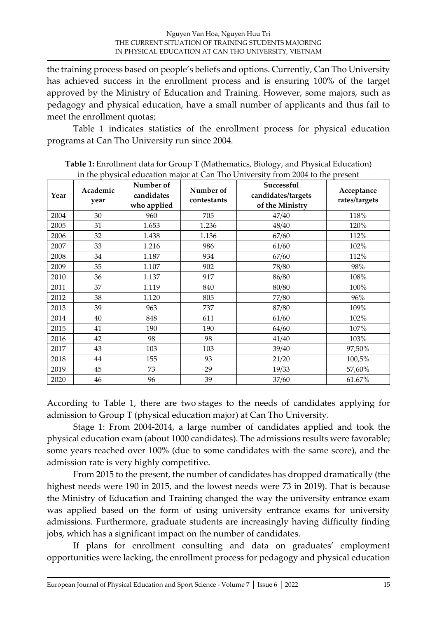the training process based on people's beliefs and options. Currently, Can Tho University has achieved success in the enrollment process and is ensuring 100% of the target approved by the Ministry of Education and Training. However, some majors, such as pedagogy and physical education, have a small number of applicants and thus fail to meet the enrollment quotas;

Table 1 indicates statistics of the enrollment process for physical education programs at Can Tho University run since 2004.

| Year | Academic<br>year | Number of<br>candidates<br>who applied | Number of<br>contestants | Successful<br>candidates/targets<br>of the Ministry | Acceptance<br>rates/targets |
|------|------------------|----------------------------------------|--------------------------|-----------------------------------------------------|-----------------------------|
| 2004 | 30               | 960                                    | 705                      | 47/40                                               | 118%                        |
| 2005 | 31               | 1.653                                  | 1.236                    | 48/40                                               | 120%                        |
| 2006 | 32               | 1.438                                  | 1.136                    | 67/60                                               | 112%                        |
| 2007 | 33               | 1.216                                  | 986                      | 61/60                                               | 102%                        |
| 2008 | 34               | 1.187                                  | 934                      | 67/60                                               | 112%                        |
| 2009 | 35               | 1.107                                  | 902                      | 78/80                                               | 98%                         |
| 2010 | 36               | 1.137                                  | 917                      | 86/80                                               | 108%                        |
| 2011 | 37               | 1.119                                  | 840                      | 80/80                                               | 100%                        |
| 2012 | 38               | 1.120                                  | 805                      | 77/80                                               | 96%                         |
| 2013 | 39               | 963                                    | 737                      | 87/80                                               | 109%                        |
| 2014 | 40               | 848                                    | 611                      | 61/60                                               | 102%                        |
| 2015 | 41               | 190                                    | 190                      | 64/60                                               | 107%                        |
| 2016 | 42               | 98                                     | 98                       | 41/40                                               | 103%                        |
| 2017 | 43               | 103                                    | 103                      | 39/40                                               | 97,50%                      |
| 2018 | 44               | 155                                    | 93                       | 21/20                                               | 100,5%                      |
| 2019 | 45               | 73                                     | 29                       | 19/33                                               | 57,60%                      |
| 2020 | 46               | 96                                     | 39                       | 37/60                                               | 61.67%                      |

**Table 1:** Enrollment data for Group T (Mathematics, Biology, and Physical Education) in the physical education major at Can Tho University from 2004 to the present

According to Table 1, there are two stages to the needs of candidates applying for admission to Group T (physical education major) at Can Tho University.

Stage 1: From 2004-2014, a large number of candidates applied and took the physical education exam (about 1000 candidates). The admissions results were favorable; some years reached over 100% (due to some candidates with the same score), and the admission rate is very highly competitive.

From 2015 to the present, the number of candidates has dropped dramatically (the highest needs were 190 in 2015, and the lowest needs were 73 in 2019). That is because the Ministry of Education and Training changed the way the university entrance exam was applied based on the form of using university entrance exams for university admissions. Furthermore, graduate students are increasingly having difficulty finding jobs, which has a significant impact on the number of candidates.

If plans for enrollment consulting and data on graduates' employment opportunities were lacking, the enrollment process for pedagogy and physical education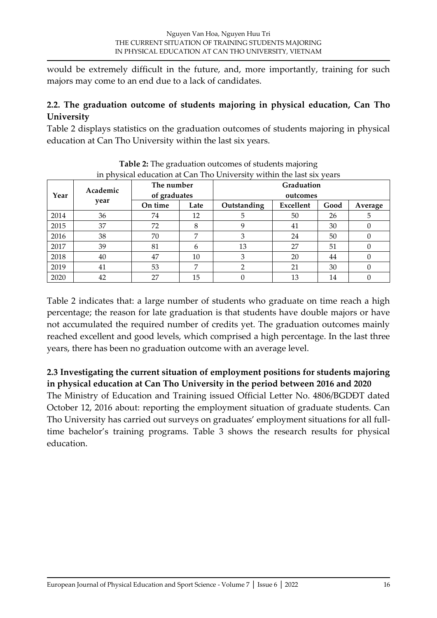would be extremely difficult in the future, and, more importantly, training for such majors may come to an end due to a lack of candidates.

# **2.2. The graduation outcome of students majoring in physical education, Can Tho University**

Table 2 displays statistics on the graduation outcomes of students majoring in physical education at Can Tho University within the last six years.

| Year | Academic | The number<br>of graduates |      | Graduation<br>outcomes |           |      |          |  |  |
|------|----------|----------------------------|------|------------------------|-----------|------|----------|--|--|
|      |          |                            |      |                        |           |      |          |  |  |
|      | year     | On time                    | Late | Outstanding            | Excellent | Good | Average  |  |  |
| 2014 | 36       | 74                         | 12   | 5                      | 50        | 26   | 5        |  |  |
| 2015 | 37       | 72                         | 8    |                        | 41        | 30   |          |  |  |
| 2016 | 38       | 70                         | 7    | 3                      | 24        | 50   | $\left($ |  |  |
| 2017 | 39       | 81                         | 6    | 13                     | 27        | 51   |          |  |  |
| 2018 | 40       | 47                         | 10   | 3                      | 20        | 44   | 0        |  |  |
| 2019 | 41       | 53                         | 7    | 2                      | 21        | 30   |          |  |  |
| 2020 | 42       | 27                         | 15   |                        | 13        | 14   |          |  |  |

**Table 2:** The graduation outcomes of students majoring

Table 2 indicates that: a large number of students who graduate on time reach a high percentage; the reason for late graduation is that students have double majors or have not accumulated the required number of credits yet. The graduation outcomes mainly reached excellent and good levels, which comprised a high percentage. In the last three years, there has been no graduation outcome with an average level.

# **2.3 Investigating the current situation of employment positions for students majoring in physical education at Can Tho University in the period between 2016 and 2020**

The Ministry of Education and Training issued Official Letter No. 4806/BGDĐT dated October 12, 2016 about: reporting the employment situation of graduate students. Can Tho University has carried out surveys on graduates' employment situations for all fulltime bachelor's training programs. Table 3 shows the research results for physical education.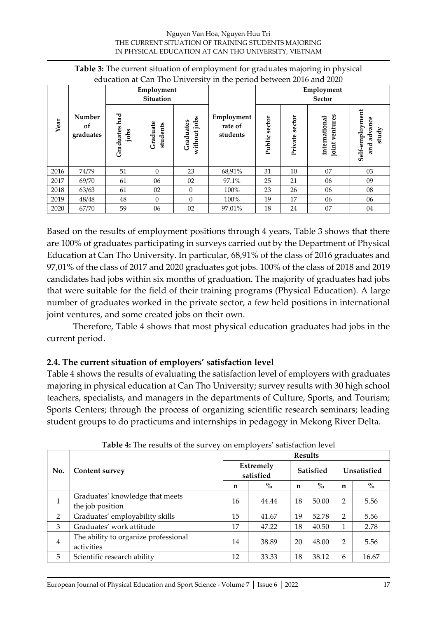| Table 3: The current situation of employment for graduates majoring in physical |  |  |
|---------------------------------------------------------------------------------|--|--|
| education at Can Tho University in the period between 2016 and 2020             |  |  |

|      |                           | Employment<br><b>Situation</b> |                      |                           |                                   | Employment<br><b>Sector</b> |                |                                    |                                            |
|------|---------------------------|--------------------------------|----------------------|---------------------------|-----------------------------------|-----------------------------|----------------|------------------------------------|--------------------------------------------|
| Year | Number<br>of<br>graduates | had<br>Graduates<br>jobs       | Graduate<br>students | without jobs<br>Graduates | Employment<br>rate of<br>students | sector<br>Public            | Private sector | ventures<br>international<br>joint | Self-employment<br>advance<br>study<br>and |
| 2016 | 74/79                     | 51                             | $\Omega$             | 23                        | 68,91%                            | 31                          | 10             | 07                                 | 03                                         |
| 2017 | 69/70                     | 61                             | 06                   | 02                        | 97.1%                             | 25                          | 21             | 06                                 | 09                                         |
| 2018 | 63/63                     | 61                             | 02                   | $\theta$                  | 100%                              | 23                          | 26             | 06                                 | 08                                         |
| 2019 | 48/48                     | 48                             | $\Omega$             | $\Omega$                  | 100%                              | 19                          | 17             | 06                                 | 06                                         |
| 2020 | 67/70                     | 59                             | 06                   | 02                        | 97.01%                            | 18                          | 24             | 07                                 | 04                                         |

Based on the results of employment positions through 4 years, Table 3 shows that there are 100% of graduates participating in surveys carried out by the Department of Physical Education at Can Tho University. In particular, 68,91% of the class of 2016 graduates and 97,01% of the class of 2017 and 2020 graduates got jobs. 100% of the class of 2018 and 2019 candidates had jobs within six months of graduation. The majority of graduates had jobs that were suitable for the field of their training programs (Physical Education). A large number of graduates worked in the private sector, a few held positions in international joint ventures, and some created jobs on their own.

Therefore, Table 4 shows that most physical education graduates had jobs in the current period.

# **2.4. The current situation of employers' satisfaction level**

Table 4 shows the results of evaluating the satisfaction level of employers with graduates majoring in physical education at Can Tho University; survey results with 30 high school teachers, specialists, and managers in the departments of Culture, Sports, and Tourism; Sports Centers; through the process of organizing scientific research seminars; leading student groups to do practicums and internships in pedagogy in Mekong River Delta.

|                |                                                     |                        | <b>Results</b> |                  |       |                |       |  |  |
|----------------|-----------------------------------------------------|------------------------|----------------|------------------|-------|----------------|-------|--|--|
| No.            | Content survey                                      | Extremely<br>satisfied |                | <b>Satisfied</b> |       | Unsatisfied    |       |  |  |
|                |                                                     |                        | $\%$           | n                | $\%$  | n              | $\%$  |  |  |
| 1              | Graduates' knowledge that meets<br>the job position | 16                     | 44.44          | 18               | 50.00 | 2              | 5.56  |  |  |
| 2              | Graduates' employability skills                     | 15                     | 41.67          | 19               | 52.78 | $\mathfrak{D}$ | 5.56  |  |  |
| 3              | Graduates' work attitude                            | 17                     | 47.22          | 18               | 40.50 | 1              | 2.78  |  |  |
| $\overline{4}$ | The ability to organize professional<br>activities  | 14                     | 38.89          | 20               | 48.00 | 2              | 5.56  |  |  |
| 5              | Scientific research ability                         | 12                     | 33.33          | 18               | 38.12 | 6              | 16.67 |  |  |

| Table 4: The results of the survey on employers' satisfaction level |  |  |
|---------------------------------------------------------------------|--|--|
|                                                                     |  |  |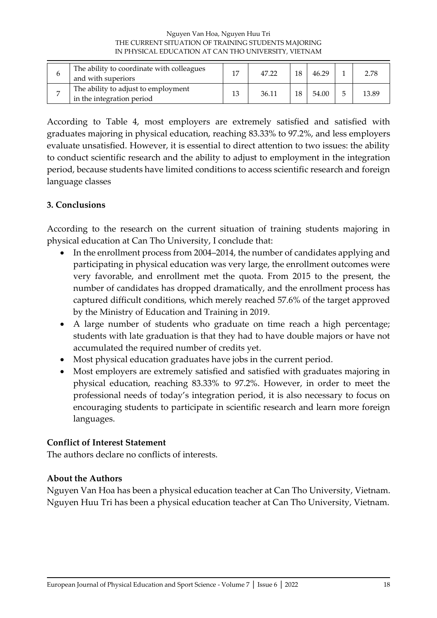#### Nguyen Van Hoa, Nguyen Huu Tri THE CURRENT SITUATION OF TRAINING STUDENTS MAJORING IN PHYSICAL EDUCATION AT CAN THO UNIVERSITY, VIETNAM

| b | The ability to coordinate with colleagues<br>and with superiors  | 17 | 47.22 |    | 46.29 | 2.78  |
|---|------------------------------------------------------------------|----|-------|----|-------|-------|
|   | The ability to adjust to employment<br>in the integration period | 13 | 36.11 | 18 | 54.00 | 13.89 |

According to Table 4, most employers are extremely satisfied and satisfied with graduates majoring in physical education, reaching 83.33% to 97.2%, and less employers evaluate unsatisfied. However, it is essential to direct attention to two issues: the ability to conduct scientific research and the ability to adjust to employment in the integration period, because students have limited conditions to access scientific research and foreign language classes

# **3. Conclusions**

According to the research on the current situation of training students majoring in physical education at Can Tho University, I conclude that:

- In the enrollment process from 2004–2014, the number of candidates applying and participating in physical education was very large, the enrollment outcomes were very favorable, and enrollment met the quota. From 2015 to the present, the number of candidates has dropped dramatically, and the enrollment process has captured difficult conditions, which merely reached 57.6% of the target approved by the Ministry of Education and Training in 2019.
- A large number of students who graduate on time reach a high percentage; students with late graduation is that they had to have double majors or have not accumulated the required number of credits yet.
- Most physical education graduates have jobs in the current period.
- Most employers are extremely satisfied and satisfied with graduates majoring in physical education, reaching 83.33% to 97.2%. However, in order to meet the professional needs of today's integration period, it is also necessary to focus on encouraging students to participate in scientific research and learn more foreign languages.

# **Conflict of Interest Statement**

The authors declare no conflicts of interests.

#### **About the Authors**

Nguyen Van Hoa has been a physical education teacher at Can Tho University, Vietnam. Nguyen Huu Tri has been a physical education teacher at Can Tho University, Vietnam.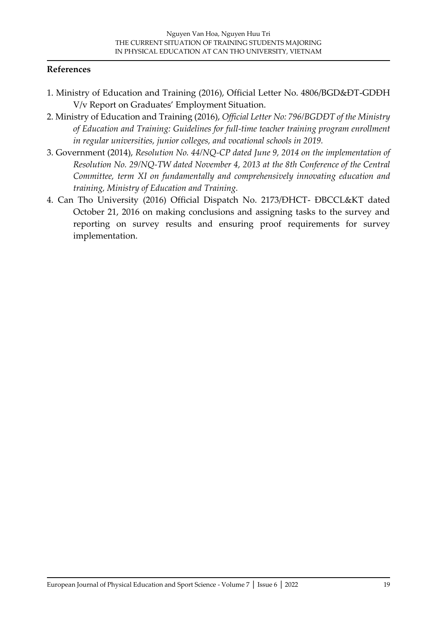#### **References**

- 1. Ministry of Education and Training (2016), Official Letter No. 4806/BGD&ĐT-GDĐH V/v Report on Graduates' Employment Situation.
- 2. Ministry of Education and Training (2016), *Official Letter No: 796/BGDĐT of the Ministry of Education and Training: Guidelines for full-time teacher training program enrollment in regular universities, junior colleges, and vocational schools in 2019.*
- 3. Government (2014), *Resolution No. 44/NQ-CP dated June 9, 2014 on the implementation of Resolution No. 29/NQ-TW dated November 4, 2013 at the 8th Conference of the Central Committee, term XI on fundamentally and comprehensively innovating education and training, Ministry of Education and Training.*
- 4. Can Tho University (2016) Official Dispatch No. 2173/ĐHCT- ĐBCCL&KT dated October 21, 2016 on making conclusions and assigning tasks to the survey and reporting on survey results and ensuring proof requirements for survey implementation.